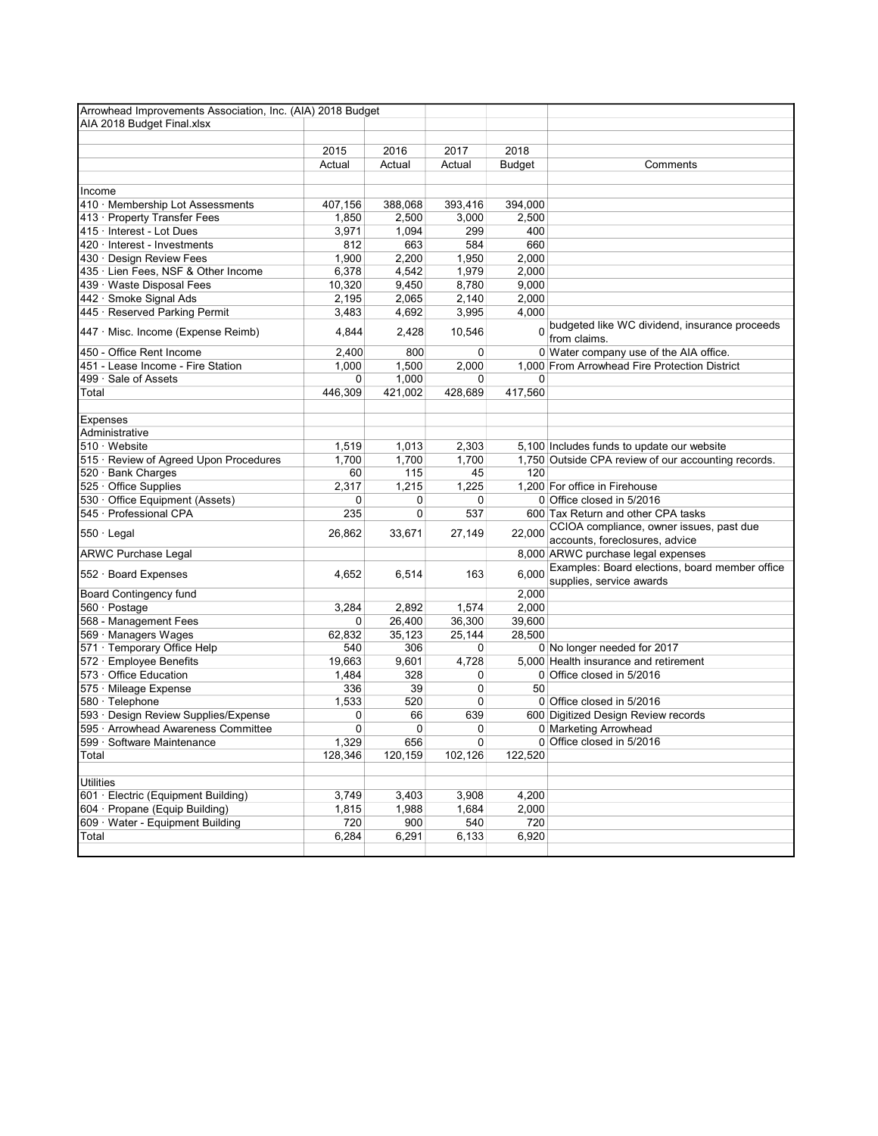| Arrowhead Improvements Association, Inc. (AIA) 2018 Budget |         |             |             |               |                                                                            |
|------------------------------------------------------------|---------|-------------|-------------|---------------|----------------------------------------------------------------------------|
| AIA 2018 Budget Final.xlsx                                 |         |             |             |               |                                                                            |
|                                                            |         |             |             |               |                                                                            |
|                                                            | 2015    | 2016        | 2017        | 2018          |                                                                            |
|                                                            | Actual  | Actual      | Actual      | <b>Budget</b> | Comments                                                                   |
|                                                            |         |             |             |               |                                                                            |
| Income                                                     |         |             |             |               |                                                                            |
| 410 · Membership Lot Assessments                           | 407,156 | 388,068     | 393,416     | 394,000       |                                                                            |
| 413 · Property Transfer Fees                               | 1,850   | 2,500       | 3,000       | 2,500         |                                                                            |
| 415 · Interest - Lot Dues                                  | 3,971   | 1,094       | 299         | 400           |                                                                            |
| 420 · Interest - Investments                               | 812     | 663         | 584         | 660           |                                                                            |
| 430 · Design Review Fees                                   | 1,900   | 2,200       | 1,950       | 2,000         |                                                                            |
| 435 · Lien Fees, NSF & Other Income                        | 6,378   | 4,542       | 1,979       | 2,000         |                                                                            |
| 439 · Waste Disposal Fees                                  | 10,320  | 9,450       | 8,780       | 9,000         |                                                                            |
| 442 · Smoke Signal Ads                                     | 2,195   | 2,065       | 2,140       | 2,000         |                                                                            |
| 445 · Reserved Parking Permit                              | 3,483   | 4,692       | 3,995       | 4,000         |                                                                            |
| 447 · Misc. Income (Expense Reimb)                         | 4,844   | 2,428       | 10,546      | $\Omega$      | budgeted like WC dividend, insurance proceeds<br>from claims.              |
| 450 - Office Rent Income                                   | 2,400   | 800         | 0           |               | 0 Water company use of the AIA office.                                     |
| 451 - Lease Income - Fire Station                          | 1,000   | 1,500       | 2,000       |               | 1,000 From Arrowhead Fire Protection District                              |
| 499 · Sale of Assets                                       | 0       | 1,000       | 0           | 0             |                                                                            |
| Total                                                      | 446,309 | 421,002     | 428,689     | 417,560       |                                                                            |
|                                                            |         |             |             |               |                                                                            |
| <b>Expenses</b>                                            |         |             |             |               |                                                                            |
| Administrative                                             |         |             |             |               |                                                                            |
| $510 \cdot$ Website                                        | 1,519   | 1,013       | 2,303       |               | 5,100 Includes funds to update our website                                 |
| 515 · Review of Agreed Upon Procedures                     | 1,700   | 1,700       | 1,700       |               | 1,750 Outside CPA review of our accounting records.                        |
| 520 · Bank Charges                                         | 60      | 115         | 45          | 120           |                                                                            |
| 525 · Office Supplies                                      | 2,317   | 1,215       | 1,225       |               | 1,200 For office in Firehouse                                              |
| 530 · Office Equipment (Assets)                            | 0       | 0           | 0           |               | 0 Office closed in 5/2016                                                  |
| 545 · Professional CPA                                     | 235     | $\mathbf 0$ | 537         |               | 600 Tax Return and other CPA tasks                                         |
| $550 \cdot$ Legal                                          | 26,862  | 33,671      | 27,149      | 22,000        | CCIOA compliance, owner issues, past due<br>accounts, foreclosures, advice |
| <b>ARWC Purchase Legal</b>                                 |         |             |             |               | 8,000 ARWC purchase legal expenses                                         |
|                                                            |         |             |             |               | Examples: Board elections, board member office                             |
| 552 · Board Expenses                                       | 4,652   | 6,514       | 163         | 6,000         | supplies, service awards                                                   |
| <b>Board Contingency fund</b>                              |         |             |             | 2,000         |                                                                            |
| 560 · Postage                                              | 3,284   | 2,892       | 1,574       | 2,000         |                                                                            |
| 568 - Management Fees                                      | 0       | 26,400      | 36,300      | 39,600        |                                                                            |
| 569 · Managers Wages                                       | 62,832  | 35,123      | 25,144      | 28,500        |                                                                            |
| 571 · Temporary Office Help                                | 540     | 306         | 0           |               | 0 No longer needed for 2017                                                |
| 572 · Employee Benefits                                    | 19,663  | 9,601       | 4,728       |               | 5,000 Health insurance and retirement                                      |
| 573 · Office Education                                     | 1,484   | 328         | 0           |               | 0 Office closed in 5/2016                                                  |
| 575 · Mileage Expense                                      | 336     | 39          | 0           | 50            |                                                                            |
| 580 · Telephone                                            | 1,533   | 520         | 0           |               | 0 Office closed in 5/2016                                                  |
| 593 · Design Review Supplies/Expense                       | 0       | 66          | 639         |               | 600 Digitized Design Review records                                        |
| 595 · Arrowhead Awareness Committee                        | 0       | 0           | 0           |               | 0 Marketing Arrowhead                                                      |
| 599 · Software Maintenance                                 | 1,329   | 656         | $\mathbf 0$ |               | 0 Office closed in 5/2016                                                  |
| Total                                                      | 128,346 | 120,159     | 102,126     | 122,520       |                                                                            |
| <b>Utilities</b>                                           |         |             |             |               |                                                                            |
| 601 · Electric (Equipment Building)                        | 3,749   | 3,403       | 3,908       | 4,200         |                                                                            |
| 604 · Propane (Equip Building)                             | 1,815   | 1,988       | 1,684       | 2,000         |                                                                            |
| 609 · Water - Equipment Building                           | 720     | 900         | 540         | 720           |                                                                            |
| Total                                                      | 6,284   | 6,291       | 6,133       | 6,920         |                                                                            |
|                                                            |         |             |             |               |                                                                            |